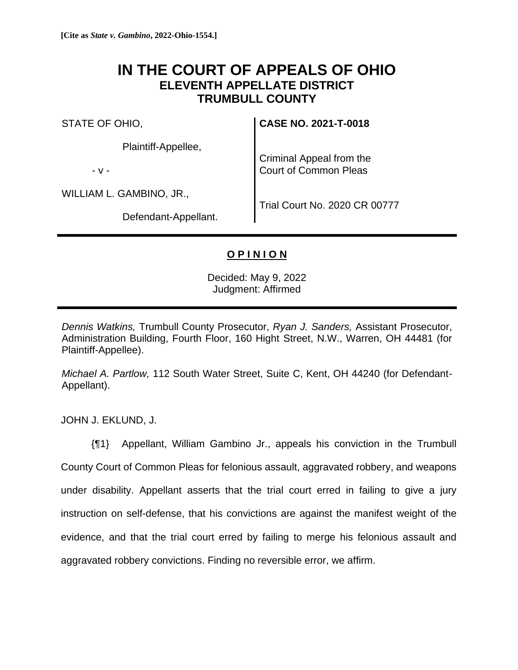## **IN THE COURT OF APPEALS OF OHIO ELEVENTH APPELLATE DISTRICT TRUMBULL COUNTY**

STATE OF OHIO,

Plaintiff-Appellee,

- v -

WILLIAM L. GAMBINO, JR.,

Defendant-Appellant.

**CASE NO. 2021-T-0018**

Criminal Appeal from the Court of Common Pleas

Trial Court No. 2020 CR 00777

## **O P I N I O N**

Decided: May 9, 2022 Judgment: Affirmed

*Dennis Watkins,* Trumbull County Prosecutor, *Ryan J. Sanders,* Assistant Prosecutor, Administration Building, Fourth Floor, 160 Hight Street, N.W., Warren, OH 44481 (for Plaintiff-Appellee).

*Michael A. Partlow,* 112 South Water Street, Suite C, Kent, OH 44240 (for Defendant-Appellant).

JOHN J. EKLUND, J.

{¶1} Appellant, William Gambino Jr., appeals his conviction in the Trumbull County Court of Common Pleas for felonious assault, aggravated robbery, and weapons under disability. Appellant asserts that the trial court erred in failing to give a jury instruction on self-defense, that his convictions are against the manifest weight of the evidence, and that the trial court erred by failing to merge his felonious assault and aggravated robbery convictions. Finding no reversible error, we affirm.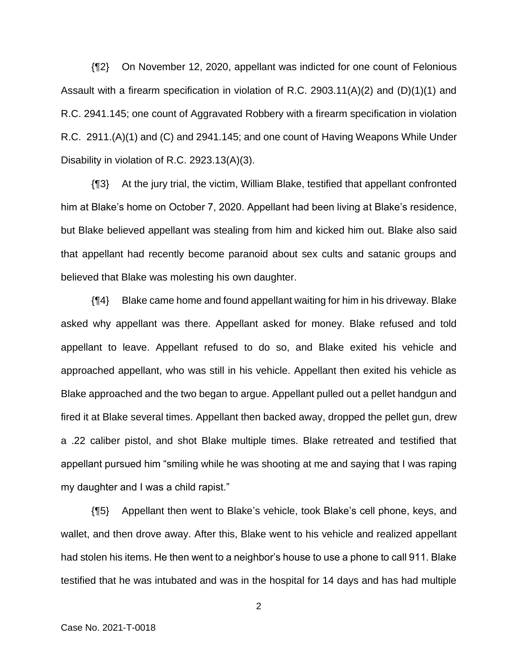{¶2} On November 12, 2020, appellant was indicted for one count of Felonious Assault with a firearm specification in violation of R.C. 2903.11(A)(2) and (D)(1)(1) and R.C. 2941.145; one count of Aggravated Robbery with a firearm specification in violation R.C. 2911.(A)(1) and (C) and 2941.145; and one count of Having Weapons While Under Disability in violation of R.C. 2923.13(A)(3).

{¶3} At the jury trial, the victim, William Blake, testified that appellant confronted him at Blake's home on October 7, 2020. Appellant had been living at Blake's residence, but Blake believed appellant was stealing from him and kicked him out. Blake also said that appellant had recently become paranoid about sex cults and satanic groups and believed that Blake was molesting his own daughter.

{¶4} Blake came home and found appellant waiting for him in his driveway. Blake asked why appellant was there. Appellant asked for money. Blake refused and told appellant to leave. Appellant refused to do so, and Blake exited his vehicle and approached appellant, who was still in his vehicle. Appellant then exited his vehicle as Blake approached and the two began to argue. Appellant pulled out a pellet handgun and fired it at Blake several times. Appellant then backed away, dropped the pellet gun, drew a .22 caliber pistol, and shot Blake multiple times. Blake retreated and testified that appellant pursued him "smiling while he was shooting at me and saying that I was raping my daughter and I was a child rapist."

{¶5} Appellant then went to Blake's vehicle, took Blake's cell phone, keys, and wallet, and then drove away. After this, Blake went to his vehicle and realized appellant had stolen his items. He then went to a neighbor's house to use a phone to call 911. Blake testified that he was intubated and was in the hospital for 14 days and has had multiple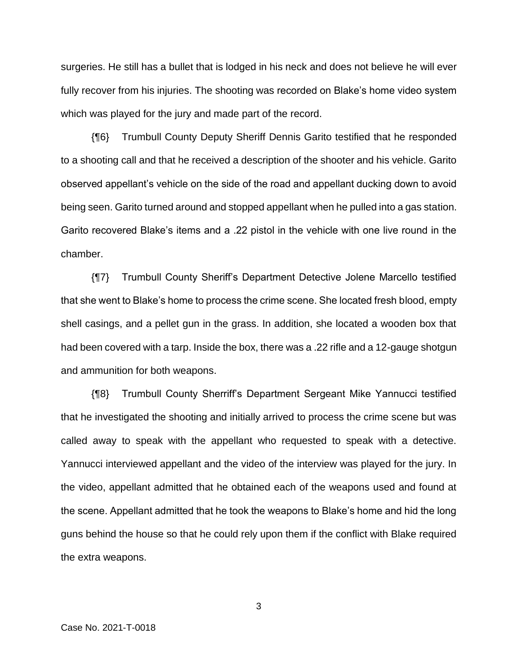surgeries. He still has a bullet that is lodged in his neck and does not believe he will ever fully recover from his injuries. The shooting was recorded on Blake's home video system which was played for the jury and made part of the record.

{¶6} Trumbull County Deputy Sheriff Dennis Garito testified that he responded to a shooting call and that he received a description of the shooter and his vehicle. Garito observed appellant's vehicle on the side of the road and appellant ducking down to avoid being seen. Garito turned around and stopped appellant when he pulled into a gas station. Garito recovered Blake's items and a .22 pistol in the vehicle with one live round in the chamber.

{¶7} Trumbull County Sheriff's Department Detective Jolene Marcello testified that she went to Blake's home to process the crime scene. She located fresh blood, empty shell casings, and a pellet gun in the grass. In addition, she located a wooden box that had been covered with a tarp. Inside the box, there was a .22 rifle and a 12-gauge shotgun and ammunition for both weapons.

{¶8} Trumbull County Sherriff's Department Sergeant Mike Yannucci testified that he investigated the shooting and initially arrived to process the crime scene but was called away to speak with the appellant who requested to speak with a detective. Yannucci interviewed appellant and the video of the interview was played for the jury. In the video, appellant admitted that he obtained each of the weapons used and found at the scene. Appellant admitted that he took the weapons to Blake's home and hid the long guns behind the house so that he could rely upon them if the conflict with Blake required the extra weapons.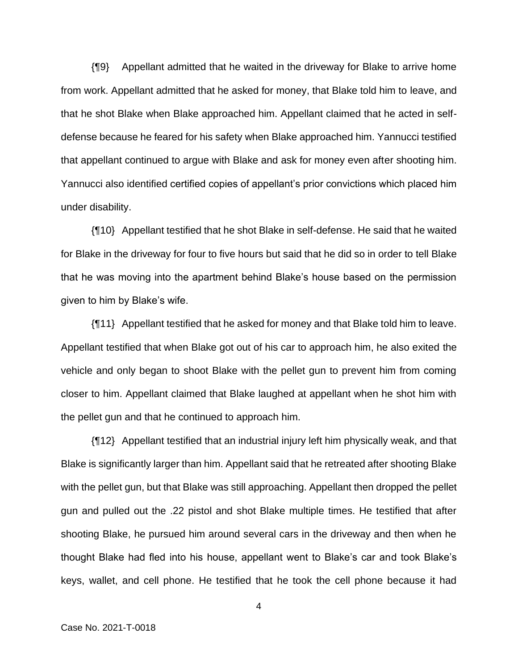{¶9} Appellant admitted that he waited in the driveway for Blake to arrive home from work. Appellant admitted that he asked for money, that Blake told him to leave, and that he shot Blake when Blake approached him. Appellant claimed that he acted in selfdefense because he feared for his safety when Blake approached him. Yannucci testified that appellant continued to argue with Blake and ask for money even after shooting him. Yannucci also identified certified copies of appellant's prior convictions which placed him under disability.

{¶10} Appellant testified that he shot Blake in self-defense. He said that he waited for Blake in the driveway for four to five hours but said that he did so in order to tell Blake that he was moving into the apartment behind Blake's house based on the permission given to him by Blake's wife.

{¶11} Appellant testified that he asked for money and that Blake told him to leave. Appellant testified that when Blake got out of his car to approach him, he also exited the vehicle and only began to shoot Blake with the pellet gun to prevent him from coming closer to him. Appellant claimed that Blake laughed at appellant when he shot him with the pellet gun and that he continued to approach him.

{¶12} Appellant testified that an industrial injury left him physically weak, and that Blake is significantly larger than him. Appellant said that he retreated after shooting Blake with the pellet gun, but that Blake was still approaching. Appellant then dropped the pellet gun and pulled out the .22 pistol and shot Blake multiple times. He testified that after shooting Blake, he pursued him around several cars in the driveway and then when he thought Blake had fled into his house, appellant went to Blake's car and took Blake's keys, wallet, and cell phone. He testified that he took the cell phone because it had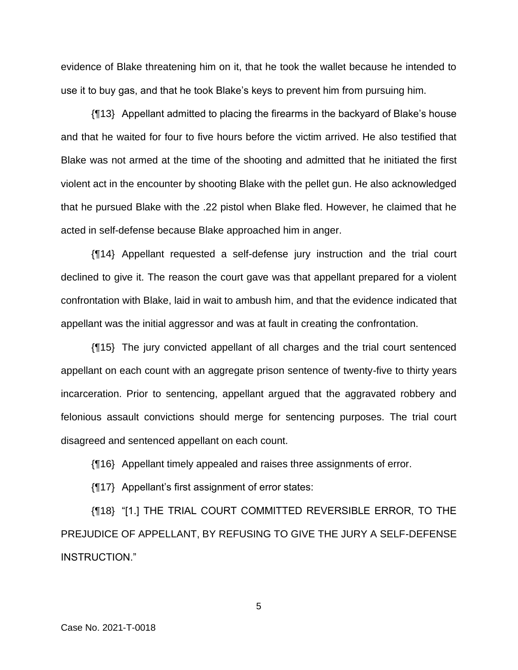evidence of Blake threatening him on it, that he took the wallet because he intended to use it to buy gas, and that he took Blake's keys to prevent him from pursuing him.

{¶13} Appellant admitted to placing the firearms in the backyard of Blake's house and that he waited for four to five hours before the victim arrived. He also testified that Blake was not armed at the time of the shooting and admitted that he initiated the first violent act in the encounter by shooting Blake with the pellet gun. He also acknowledged that he pursued Blake with the .22 pistol when Blake fled. However, he claimed that he acted in self-defense because Blake approached him in anger.

{¶14} Appellant requested a self-defense jury instruction and the trial court declined to give it. The reason the court gave was that appellant prepared for a violent confrontation with Blake, laid in wait to ambush him, and that the evidence indicated that appellant was the initial aggressor and was at fault in creating the confrontation.

{¶15} The jury convicted appellant of all charges and the trial court sentenced appellant on each count with an aggregate prison sentence of twenty-five to thirty years incarceration. Prior to sentencing, appellant argued that the aggravated robbery and felonious assault convictions should merge for sentencing purposes. The trial court disagreed and sentenced appellant on each count.

{¶16} Appellant timely appealed and raises three assignments of error.

{¶17} Appellant's first assignment of error states:

{¶18} "[1.] THE TRIAL COURT COMMITTED REVERSIBLE ERROR, TO THE PREJUDICE OF APPELLANT, BY REFUSING TO GIVE THE JURY A SELF-DEFENSE INSTRUCTION."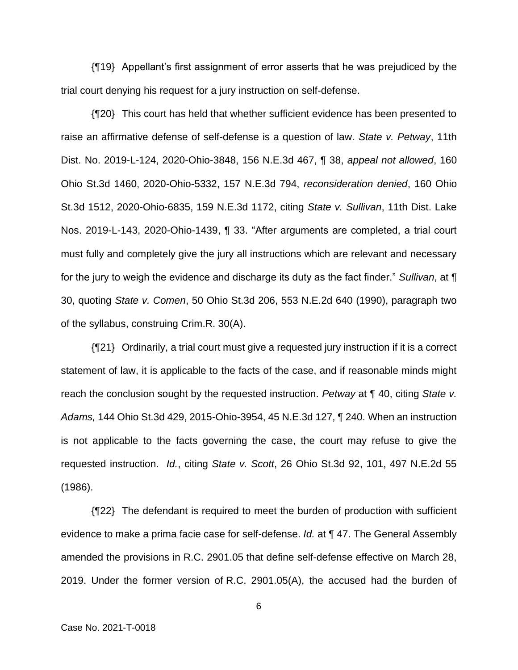{¶19} Appellant's first assignment of error asserts that he was prejudiced by the trial court denying his request for a jury instruction on self-defense.

{¶20} This court has held that whether sufficient evidence has been presented to raise an affirmative defense of self-defense is a question of law. *State v. Petway*, 11th Dist. No. 2019-L-124, 2020-Ohio-3848, 156 N.E.3d 467, ¶ 38, *appeal not allowed*, 160 Ohio St.3d 1460, 2020-Ohio-5332, 157 N.E.3d 794, *reconsideration denied*, 160 Ohio St.3d 1512, 2020-Ohio-6835, 159 N.E.3d 1172, citing *State v. Sullivan*, 11th Dist. Lake Nos. 2019-L-143, 2020-Ohio-1439, ¶ 33. "After arguments are completed, a trial court must fully and completely give the jury all instructions which are relevant and necessary for the jury to weigh the evidence and discharge its duty as the fact finder." *Sullivan*, at ¶ 30, quoting *State v. Comen*, 50 Ohio St.3d 206, 553 N.E.2d 640 (1990), paragraph two of the syllabus, construing Crim.R. 30(A).

{¶21} Ordinarily, a trial court must give a requested jury instruction if it is a correct statement of law, it is applicable to the facts of the case, and if reasonable minds might reach the conclusion sought by the requested instruction. *Petway* at ¶ 40, citing *State v. Adams,* 144 Ohio St.3d 429, 2015-Ohio-3954, 45 N.E.3d 127, ¶ 240. When an instruction is not applicable to the facts governing the case, the court may refuse to give the requested instruction. *Id.*, citing *State v. Scott*, 26 Ohio St.3d 92, 101, 497 N.E.2d 55 (1986).

{¶22} The defendant is required to meet the burden of production with sufficient evidence to make a prima facie case for self-defense. *Id.* at ¶ 47. The General Assembly amended the provisions in R.C. 2901.05 that define self-defense effective on March 28, 2019. Under the former version of R.C. 2901.05(A), the accused had the burden of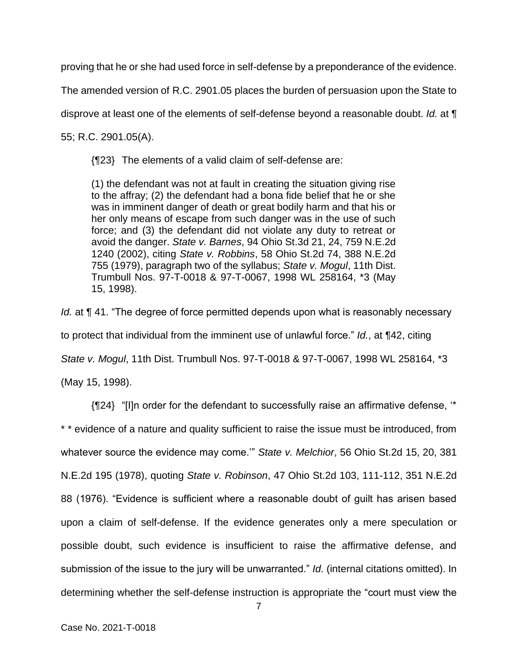proving that he or she had used force in self-defense by a preponderance of the evidence.

The amended version of R.C. 2901.05 places the burden of persuasion upon the State to

disprove at least one of the elements of self-defense beyond a reasonable doubt. *Id.* at ¶

55; R.C. 2901.05(A).

{¶23} The elements of a valid claim of self-defense are:

(1) the defendant was not at fault in creating the situation giving rise to the affray; (2) the defendant had a bona fide belief that he or she was in imminent danger of death or great bodily harm and that his or her only means of escape from such danger was in the use of such force; and (3) the defendant did not violate any duty to retreat or avoid the danger. *State v. Barnes*, 94 Ohio St.3d 21, 24, 759 N.E.2d 1240 (2002), citing *State v. Robbins*, 58 Ohio St.2d 74, 388 N.E.2d 755 (1979), paragraph two of the syllabus; *State v. Mogul*, 11th Dist. Trumbull Nos. 97-T-0018 & 97-T-0067, 1998 WL 258164, \*3 (May 15, 1998).

*Id.* at **[41.** "The degree of force permitted depends upon what is reasonably necessary to protect that individual from the imminent use of unlawful force." *Id.*, at ¶42, citing *State v. Mogul*, 11th Dist. Trumbull Nos. 97-T-0018 & 97-T-0067, 1998 WL 258164, \*3 (May 15, 1998).

{¶24} "[I]n order for the defendant to successfully raise an affirmative defense, '\*

\* \* evidence of a nature and quality sufficient to raise the issue must be introduced, from whatever source the evidence may come.'" *State v. Melchior*, 56 Ohio St.2d 15, 20, 381 N.E.2d 195 (1978), quoting *State v. Robinson*, 47 Ohio St.2d 103, 111-112, 351 N.E.2d 88 (1976). "Evidence is sufficient where a reasonable doubt of guilt has arisen based upon a claim of self-defense. If the evidence generates only a mere speculation or possible doubt, such evidence is insufficient to raise the affirmative defense, and submission of the issue to the jury will be unwarranted." *Id.* (internal citations omitted). In determining whether the self-defense instruction is appropriate the "court must view the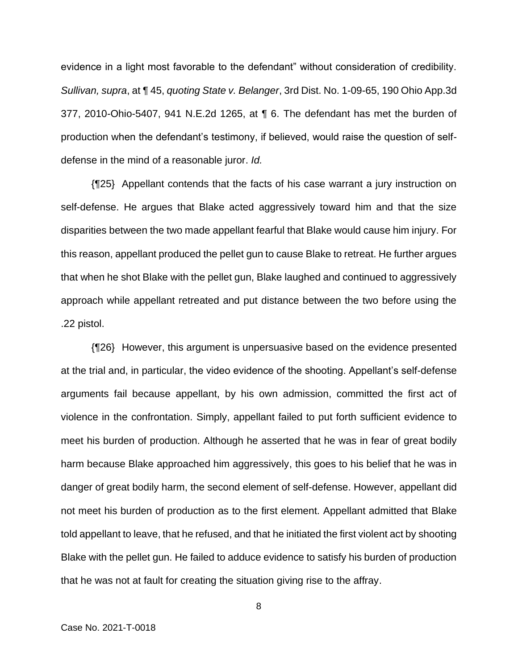evidence in a light most favorable to the defendant" without consideration of credibility. *Sullivan, supra*, at ¶ 45, *quoting State v. Belanger*, 3rd Dist. No. 1-09-65, 190 Ohio App.3d 377, 2010-Ohio-5407, 941 N.E.2d 1265, at ¶ 6. The defendant has met the burden of production when the defendant's testimony, if believed, would raise the question of selfdefense in the mind of a reasonable juror. *Id.*

{¶25} Appellant contends that the facts of his case warrant a jury instruction on self-defense. He argues that Blake acted aggressively toward him and that the size disparities between the two made appellant fearful that Blake would cause him injury. For this reason, appellant produced the pellet gun to cause Blake to retreat. He further argues that when he shot Blake with the pellet gun, Blake laughed and continued to aggressively approach while appellant retreated and put distance between the two before using the .22 pistol.

{¶26} However, this argument is unpersuasive based on the evidence presented at the trial and, in particular, the video evidence of the shooting. Appellant's self-defense arguments fail because appellant, by his own admission, committed the first act of violence in the confrontation. Simply, appellant failed to put forth sufficient evidence to meet his burden of production. Although he asserted that he was in fear of great bodily harm because Blake approached him aggressively, this goes to his belief that he was in danger of great bodily harm, the second element of self-defense. However, appellant did not meet his burden of production as to the first element. Appellant admitted that Blake told appellant to leave, that he refused, and that he initiated the first violent act by shooting Blake with the pellet gun. He failed to adduce evidence to satisfy his burden of production that he was not at fault for creating the situation giving rise to the affray.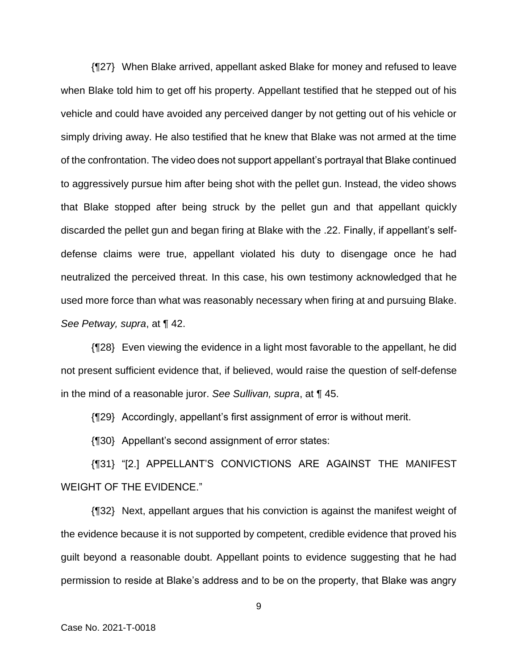{¶27} When Blake arrived, appellant asked Blake for money and refused to leave when Blake told him to get off his property. Appellant testified that he stepped out of his vehicle and could have avoided any perceived danger by not getting out of his vehicle or simply driving away. He also testified that he knew that Blake was not armed at the time of the confrontation. The video does not support appellant's portrayal that Blake continued to aggressively pursue him after being shot with the pellet gun. Instead, the video shows that Blake stopped after being struck by the pellet gun and that appellant quickly discarded the pellet gun and began firing at Blake with the .22. Finally, if appellant's selfdefense claims were true, appellant violated his duty to disengage once he had neutralized the perceived threat. In this case, his own testimony acknowledged that he used more force than what was reasonably necessary when firing at and pursuing Blake. *See Petway, supra*, at ¶ 42.

{¶28} Even viewing the evidence in a light most favorable to the appellant, he did not present sufficient evidence that, if believed, would raise the question of self-defense in the mind of a reasonable juror. *See Sullivan, supra*, at ¶ 45.

{¶29} Accordingly, appellant's first assignment of error is without merit.

{¶30} Appellant's second assignment of error states:

{¶31} "[2.] APPELLANT'S CONVICTIONS ARE AGAINST THE MANIFEST WEIGHT OF THE EVIDENCE."

{¶32} Next, appellant argues that his conviction is against the manifest weight of the evidence because it is not supported by competent, credible evidence that proved his guilt beyond a reasonable doubt. Appellant points to evidence suggesting that he had permission to reside at Blake's address and to be on the property, that Blake was angry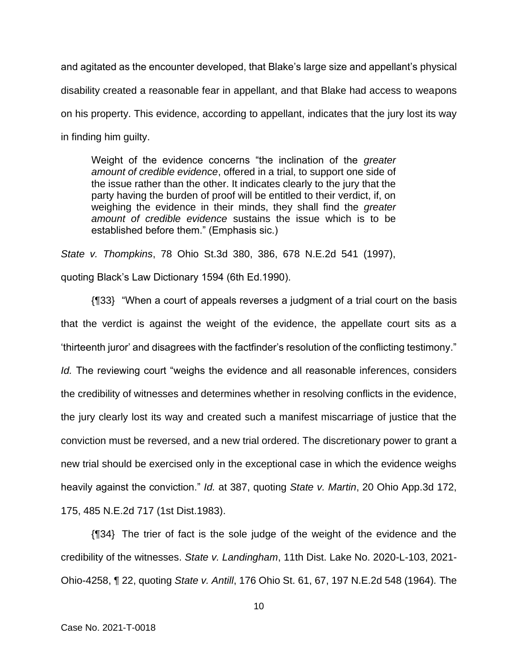and agitated as the encounter developed, that Blake's large size and appellant's physical disability created a reasonable fear in appellant, and that Blake had access to weapons on his property. This evidence, according to appellant, indicates that the jury lost its way in finding him guilty.

Weight of the evidence concerns "the inclination of the *greater amount of credible evidence*, offered in a trial, to support one side of the issue rather than the other. It indicates clearly to the jury that the party having the burden of proof will be entitled to their verdict, if, on weighing the evidence in their minds, they shall find the *greater amount of credible evidence* sustains the issue which is to be established before them." (Emphasis sic.)

*State v. Thompkins*, 78 Ohio St.3d 380, 386, 678 N.E.2d 541 (1997),

quoting Black's Law Dictionary 1594 (6th Ed.1990).

{¶33} "When a court of appeals reverses a judgment of a trial court on the basis that the verdict is against the weight of the evidence, the appellate court sits as a 'thirteenth juror' and disagrees with the factfinder's resolution of the conflicting testimony." *Id.* The reviewing court "weighs the evidence and all reasonable inferences, considers the credibility of witnesses and determines whether in resolving conflicts in the evidence, the jury clearly lost its way and created such a manifest miscarriage of justice that the conviction must be reversed, and a new trial ordered. The discretionary power to grant a new trial should be exercised only in the exceptional case in which the evidence weighs heavily against the conviction." *Id.* at 387, quoting *State v. Martin*, 20 Ohio App.3d 172, 175, 485 N.E.2d 717 (1st Dist.1983).

{¶34} The trier of fact is the sole judge of the weight of the evidence and the credibility of the witnesses. *State v. Landingham*, 11th Dist. Lake No. 2020-L-103, 2021- Ohio-4258, ¶ 22, quoting *State v. Antill*, 176 Ohio St. 61, 67, 197 N.E.2d 548 (1964)*.* The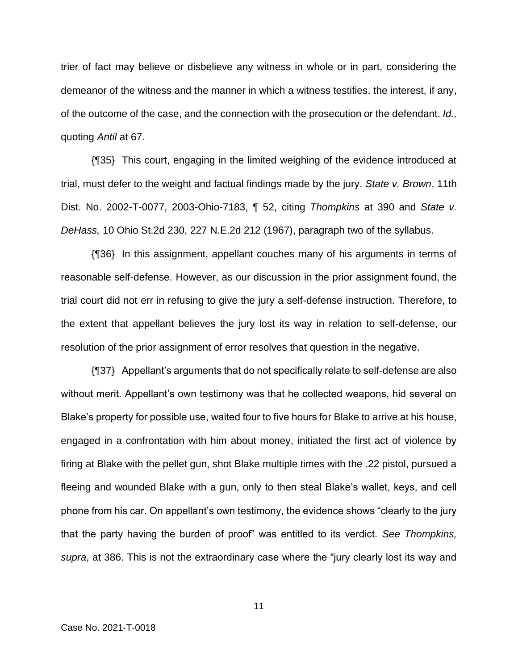trier of fact may believe or disbelieve any witness in whole or in part, considering the demeanor of the witness and the manner in which a witness testifies, the interest, if any, of the outcome of the case, and the connection with the prosecution or the defendant. *Id.,*  quoting *Antil* at 67.

{¶35} This court, engaging in the limited weighing of the evidence introduced at trial, must defer to the weight and factual findings made by the jury. *State v. Brown*, 11th Dist. No. 2002-T-0077, 2003-Ohio-7183, ¶ 52, citing *Thompkins* at 390 and *State v. DeHass,* 10 Ohio St.2d 230, 227 N.E.2d 212 (1967), paragraph two of the syllabus.

{¶36} In this assignment, appellant couches many of his arguments in terms of reasonable self-defense. However, as our discussion in the prior assignment found, the trial court did not err in refusing to give the jury a self-defense instruction. Therefore, to the extent that appellant believes the jury lost its way in relation to self-defense, our resolution of the prior assignment of error resolves that question in the negative.

{¶37} Appellant's arguments that do not specifically relate to self-defense are also without merit. Appellant's own testimony was that he collected weapons, hid several on Blake's property for possible use, waited four to five hours for Blake to arrive at his house, engaged in a confrontation with him about money, initiated the first act of violence by firing at Blake with the pellet gun, shot Blake multiple times with the .22 pistol, pursued a fleeing and wounded Blake with a gun, only to then steal Blake's wallet, keys, and cell phone from his car. On appellant's own testimony, the evidence shows "clearly to the jury that the party having the burden of proof" was entitled to its verdict. *See Thompkins, supra*, at 386. This is not the extraordinary case where the "jury clearly lost its way and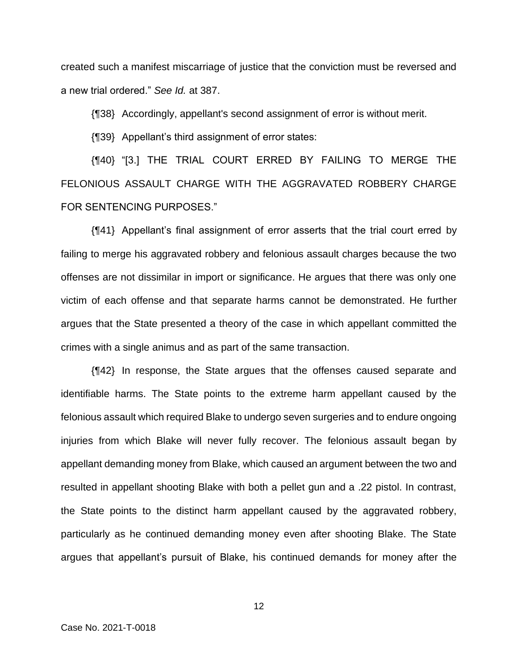created such a manifest miscarriage of justice that the conviction must be reversed and a new trial ordered." *See Id.* at 387.

{¶38} Accordingly, appellant's second assignment of error is without merit.

{¶39} Appellant's third assignment of error states:

{¶40} "[3.] THE TRIAL COURT ERRED BY FAILING TO MERGE THE FELONIOUS ASSAULT CHARGE WITH THE AGGRAVATED ROBBERY CHARGE FOR SENTENCING PURPOSES."

{¶41} Appellant's final assignment of error asserts that the trial court erred by failing to merge his aggravated robbery and felonious assault charges because the two offenses are not dissimilar in import or significance. He argues that there was only one victim of each offense and that separate harms cannot be demonstrated. He further argues that the State presented a theory of the case in which appellant committed the crimes with a single animus and as part of the same transaction.

{¶42} In response, the State argues that the offenses caused separate and identifiable harms. The State points to the extreme harm appellant caused by the felonious assault which required Blake to undergo seven surgeries and to endure ongoing injuries from which Blake will never fully recover. The felonious assault began by appellant demanding money from Blake, which caused an argument between the two and resulted in appellant shooting Blake with both a pellet gun and a .22 pistol. In contrast, the State points to the distinct harm appellant caused by the aggravated robbery, particularly as he continued demanding money even after shooting Blake. The State argues that appellant's pursuit of Blake, his continued demands for money after the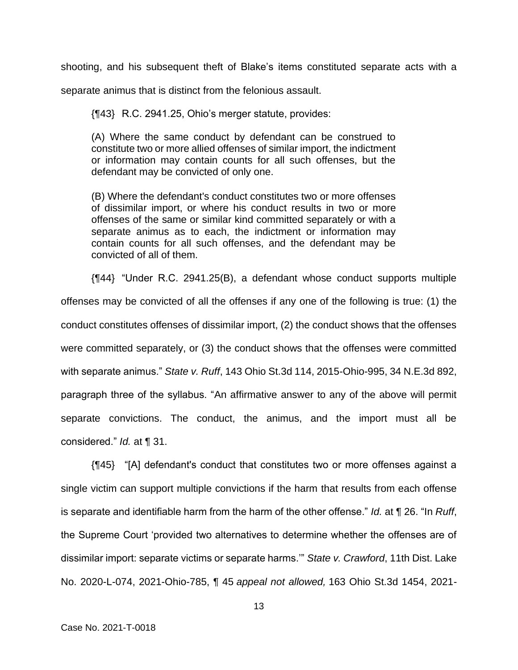shooting, and his subsequent theft of Blake's items constituted separate acts with a

separate animus that is distinct from the felonious assault.

{¶43} R.C. 2941.25, Ohio's merger statute, provides:

(A) Where the same conduct by defendant can be construed to constitute two or more allied offenses of similar import, the indictment or information may contain counts for all such offenses, but the defendant may be convicted of only one.

(B) Where the defendant's conduct constitutes two or more offenses of dissimilar import, or where his conduct results in two or more offenses of the same or similar kind committed separately or with a separate animus as to each, the indictment or information may contain counts for all such offenses, and the defendant may be convicted of all of them.

{¶44} "Under R.C. 2941.25(B), a defendant whose conduct supports multiple offenses may be convicted of all the offenses if any one of the following is true: (1) the conduct constitutes offenses of dissimilar import, (2) the conduct shows that the offenses were committed separately, or (3) the conduct shows that the offenses were committed with separate animus." *State v. Ruff*, 143 Ohio St.3d 114, 2015-Ohio-995, 34 N.E.3d 892, paragraph three of the syllabus. "An affirmative answer to any of the above will permit separate convictions. The conduct, the animus, and the import must all be considered." *Id.* at ¶ 31.

{¶45} "[A] defendant's conduct that constitutes two or more offenses against a single victim can support multiple convictions if the harm that results from each offense is separate and identifiable harm from the harm of the other offense." *Id.* at ¶ 26. "In *Ruff*, the Supreme Court 'provided two alternatives to determine whether the offenses are of dissimilar import: separate victims or separate harms.'" *State v. Crawford*, 11th Dist. Lake No. 2020-L-074, 2021-Ohio-785, ¶ 45 *appeal not allowed,* 163 Ohio St.3d 1454, 2021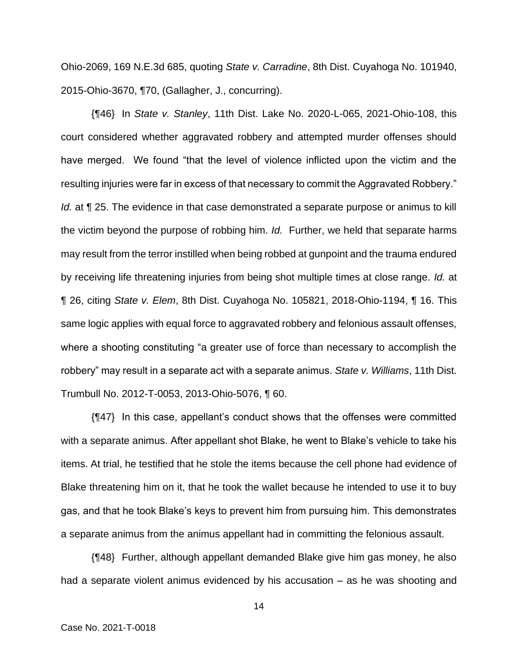Ohio-2069, 169 N.E.3d 685, quoting *State v. Carradine*, 8th Dist. Cuyahoga No. 101940, 2015-Ohio-3670, ¶70, (Gallagher, J., concurring).

{¶46} In *State v. Stanley*, 11th Dist. Lake No. 2020-L-065, 2021-Ohio-108, this court considered whether aggravated robbery and attempted murder offenses should have merged. We found "that the level of violence inflicted upon the victim and the resulting injuries were far in excess of that necessary to commit the Aggravated Robbery." *Id.* at  $\P$  25. The evidence in that case demonstrated a separate purpose or animus to kill the victim beyond the purpose of robbing him. *Id.* Further, we held that separate harms may result from the terror instilled when being robbed at gunpoint and the trauma endured by receiving life threatening injuries from being shot multiple times at close range. *Id.* at ¶ 26, citing *State v. Elem*, 8th Dist. Cuyahoga No. 105821, 2018-Ohio-1194, ¶ 16. This same logic applies with equal force to aggravated robbery and felonious assault offenses, where a shooting constituting "a greater use of force than necessary to accomplish the robbery" may result in a separate act with a separate animus. *State v. Williams*, 11th Dist. Trumbull No. 2012-T-0053, 2013-Ohio-5076, ¶ 60.

{¶47} In this case, appellant's conduct shows that the offenses were committed with a separate animus. After appellant shot Blake, he went to Blake's vehicle to take his items. At trial, he testified that he stole the items because the cell phone had evidence of Blake threatening him on it, that he took the wallet because he intended to use it to buy gas, and that he took Blake's keys to prevent him from pursuing him. This demonstrates a separate animus from the animus appellant had in committing the felonious assault.

{¶48} Further, although appellant demanded Blake give him gas money, he also had a separate violent animus evidenced by his accusation – as he was shooting and